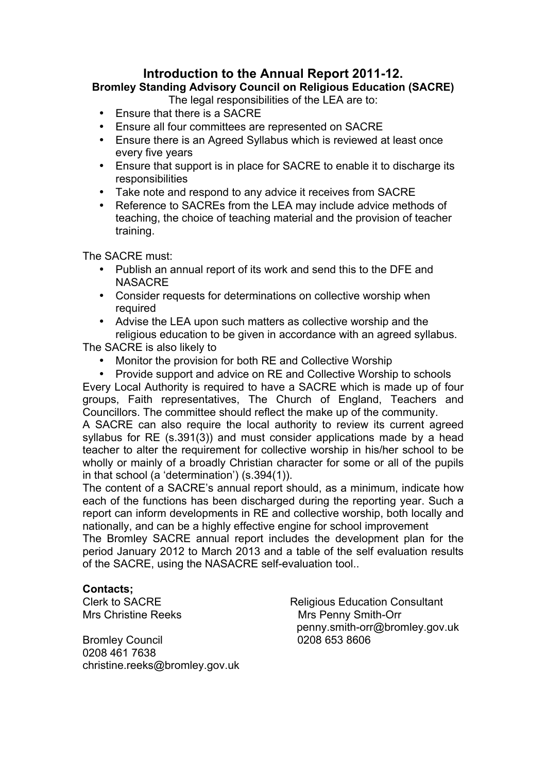# **Introduction to the Annual Report 2011-12.**

# **Bromley Standing Advisory Council on Religious Education (SACRE)**

The legal responsibilities of the LEA are to:

- Ensure that there is a SACRE
- Ensure all four committees are represented on SACRE
- Ensure there is an Agreed Syllabus which is reviewed at least once every five years
- Ensure that support is in place for SACRE to enable it to discharge its responsibilities
- Take note and respond to any advice it receives from SACRE
- Reference to SACREs from the LEA may include advice methods of teaching, the choice of teaching material and the provision of teacher training.

The SACRE must:

- Publish an annual report of its work and send this to the DFE and **NASACRE**
- Consider requests for determinations on collective worship when required
- Advise the LEA upon such matters as collective worship and the religious education to be given in accordance with an agreed syllabus. The SACRE is also likely to

• Monitor the provision for both RE and Collective Worship

• Provide support and advice on RE and Collective Worship to schools Every Local Authority is required to have a SACRE which is made up of four groups, Faith representatives, The Church of England, Teachers and Councillors. The committee should reflect the make up of the community.

A SACRE can also require the local authority to review its current agreed syllabus for RE (s.391(3)) and must consider applications made by a head teacher to alter the requirement for collective worship in his/her school to be wholly or mainly of a broadly Christian character for some or all of the pupils in that school (a 'determination') (s.394(1)).

The content of a SACRE's annual report should, as a minimum, indicate how each of the functions has been discharged during the reporting year. Such a report can inform developments in RE and collective worship, both locally and nationally, and can be a highly effective engine for school improvement

The Bromley SACRE annual report includes the development plan for the period January 2012 to March 2013 and a table of the self evaluation results of the SACRE, using the NASACRE self-evaluation tool..

### **Contacts;**

Bromley Council 0208 653 8606 0208 461 7638 christine.reeks@bromley.gov.uk

Clerk to SACRE Religious Education Consultant Mrs Christine Reeks Mrs Penny Smith-Orr penny.smith-orr@bromley.gov.uk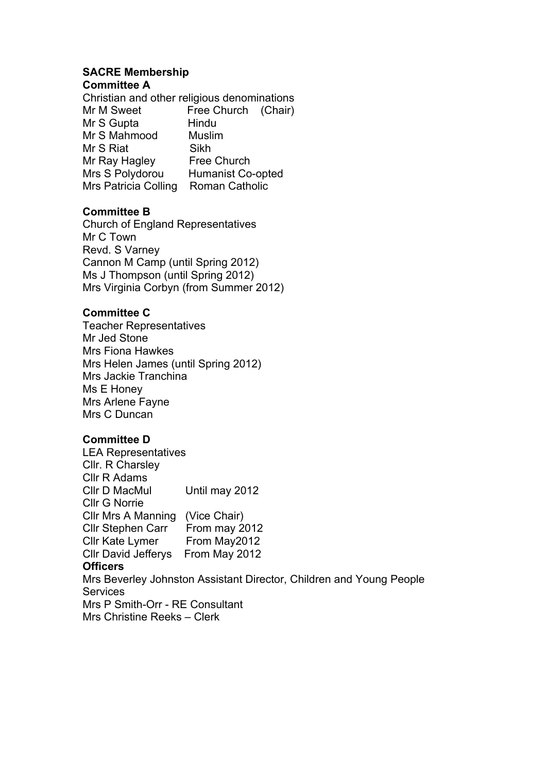#### **SACRE Membership Committee A**

Christian and other religious denominations Mr M Sweet Free Church (Chair) Mr S Gupta Hindu Mr S Mahmood Muslim Mr S Riat Sikh Mr Ray Hagley Free Church Mrs S Polydorou Humanist Co-opted Mrs Patricia Colling Roman Catholic

### **Committee B**

Church of England Representatives Mr C Town Revd. S Varney Cannon M Camp (until Spring 2012) Ms J Thompson (until Spring 2012) Mrs Virginia Corbyn (from Summer 2012)

## **Committee C**

Teacher Representatives Mr Jed Stone Mrs Fiona Hawkes Mrs Helen James (until Spring 2012) Mrs Jackie Tranchina Ms E Honey Mrs Arlene Fayne Mrs C Duncan

### **Committee D**

LEA Representatives Cllr. R Charsley Cllr R Adams Cllr D MacMul Until may 2012 Cllr G Norrie Cllr Mrs A Manning (Vice Chair) Cllr Stephen Carr From may 2012 Cllr Kate Lymer From May2012 Cllr David Jefferys From May 2012 **Officers** Mrs Beverley Johnston Assistant Director, Children and Young People **Services** Mrs P Smith-Orr - RE Consultant Mrs Christine Reeks – Clerk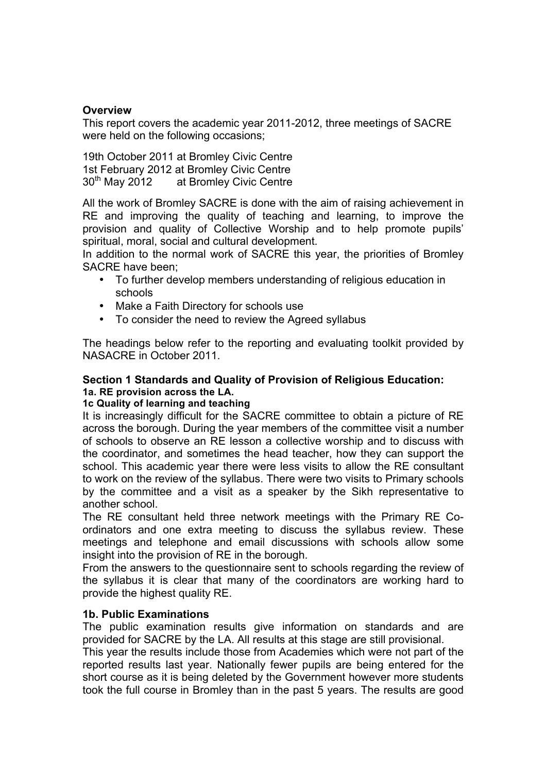## **Overview**

This report covers the academic year 2011-2012, three meetings of SACRE were held on the following occasions;

19th October 2011 at Bromley Civic Centre 1st February 2012 at Bromley Civic Centre 30<sup>th</sup> May 2012 at Bromley Civic Centre

All the work of Bromley SACRE is done with the aim of raising achievement in RE and improving the quality of teaching and learning, to improve the provision and quality of Collective Worship and to help promote pupils' spiritual, moral, social and cultural development.

In addition to the normal work of SACRE this year, the priorities of Bromley SACRE have been;

- To further develop members understanding of religious education in schools
- Make a Faith Directory for schools use
- To consider the need to review the Agreed syllabus

The headings below refer to the reporting and evaluating toolkit provided by NASACRE in October 2011.

### **Section 1 Standards and Quality of Provision of Religious Education: 1a. RE provision across the LA.**

### **1c Quality of learning and teaching**

It is increasingly difficult for the SACRE committee to obtain a picture of RE across the borough. During the year members of the committee visit a number of schools to observe an RE lesson a collective worship and to discuss with the coordinator, and sometimes the head teacher, how they can support the school. This academic year there were less visits to allow the RE consultant to work on the review of the syllabus. There were two visits to Primary schools by the committee and a visit as a speaker by the Sikh representative to another school.

The RE consultant held three network meetings with the Primary RE Coordinators and one extra meeting to discuss the syllabus review. These meetings and telephone and email discussions with schools allow some insight into the provision of RE in the borough.

From the answers to the questionnaire sent to schools regarding the review of the syllabus it is clear that many of the coordinators are working hard to provide the highest quality RE.

### **1b. Public Examinations**

The public examination results give information on standards and are provided for SACRE by the LA. All results at this stage are still provisional.

This year the results include those from Academies which were not part of the reported results last year. Nationally fewer pupils are being entered for the short course as it is being deleted by the Government however more students took the full course in Bromley than in the past 5 years. The results are good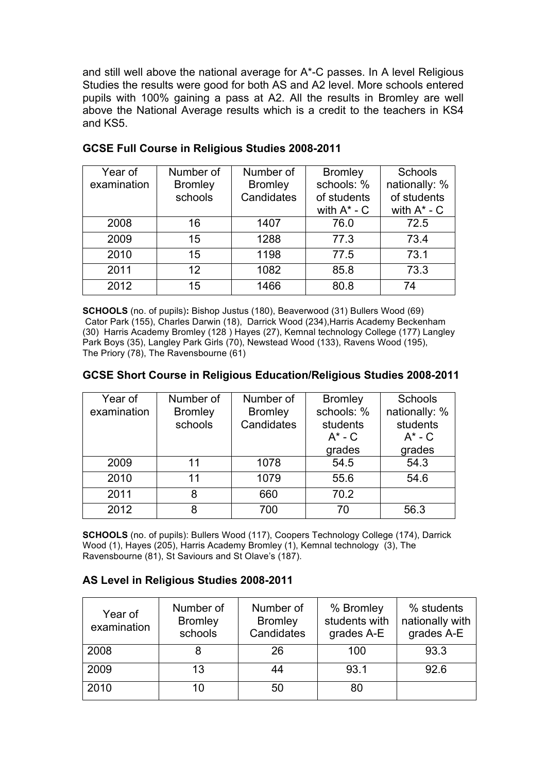and still well above the national average for A\*-C passes. In A level Religious Studies the results were good for both AS and A2 level. More schools entered pupils with 100% gaining a pass at A2. All the results in Bromley are well above the National Average results which is a credit to the teachers in KS4 and KS5.

| Year of     | Number of      | Number of      | <b>Bromley</b>   | <b>Schools</b>   |
|-------------|----------------|----------------|------------------|------------------|
| examination | <b>Bromley</b> | <b>Bromley</b> | schools: %       | nationally: %    |
|             | schools        | Candidates     | of students      | of students      |
|             |                |                | with $A^*$ - $C$ | with $A^*$ - $C$ |
| 2008        | 16             | 1407           | 76.0             | 72.5             |
| 2009        | 15             | 1288           | 77.3             | 73.4             |
| 2010        | 15             | 1198           | 77.5             | 73.1             |
| 2011        | 12             | 1082           | 85.8             | 73.3             |
| 2012        | 15             | 1466           | 80.8             | 74               |

### **GCSE Full Course in Religious Studies 2008-2011**

**SCHOOLS** (no. of pupils)**:** Bishop Justus (180), Beaverwood (31) Bullers Wood (69) Cator Park (155), Charles Darwin (18), Darrick Wood (234),Harris Academy Beckenham (30) Harris Academy Bromley (128 ) Hayes (27), Kemnal technology College (177) Langley Park Boys (35), Langley Park Girls (70), Newstead Wood (133), Ravens Wood (195), The Priory (78), The Ravensbourne (61)

#### **GCSE Short Course in Religious Education/Religious Studies 2008-2011**

| Year of<br>examination | Number of<br><b>Bromley</b><br>schools | Number of<br><b>Bromley</b><br>Candidates | <b>Bromley</b><br>schools: %<br>students<br>$A^*$ - C<br>grades | <b>Schools</b><br>nationally: %<br>students<br>$A^*$ - C<br>grades |
|------------------------|----------------------------------------|-------------------------------------------|-----------------------------------------------------------------|--------------------------------------------------------------------|
| 2009                   | 11                                     | 1078                                      | 54.5                                                            | 54.3                                                               |
| 2010                   | 11                                     | 1079                                      | 55.6                                                            | 54.6                                                               |
| 2011                   | 8                                      | 660                                       | 70.2                                                            |                                                                    |
| 2012                   | 8                                      | 700                                       | 70                                                              | 56.3                                                               |

**SCHOOLS** (no. of pupils): Bullers Wood (117), Coopers Technology College (174), Darrick Wood (1), Hayes (205), Harris Academy Bromley (1), Kemnal technology (3), The Ravensbourne (81), St Saviours and St Olave's (187).

### **AS Level in Religious Studies 2008-2011**

| Year of<br>examination | Number of<br><b>Bromley</b><br>schools | Number of<br><b>Bromley</b><br>Candidates | % Bromley<br>students with<br>grades A-E | % students<br>nationally with<br>grades A-E |
|------------------------|----------------------------------------|-------------------------------------------|------------------------------------------|---------------------------------------------|
| 2008                   |                                        | 26                                        | 100                                      | 93.3                                        |
| 2009                   | 13                                     | 44                                        | 93.1                                     | 92.6                                        |
| 2010                   | 10                                     | 50                                        | 80                                       |                                             |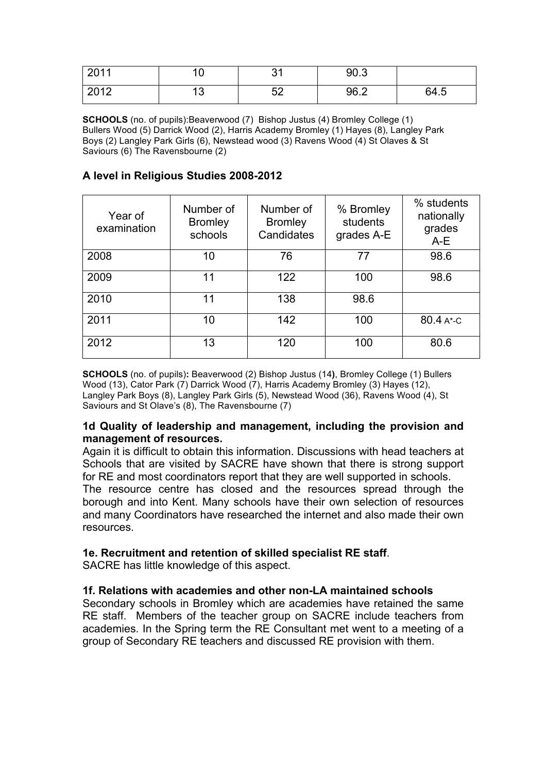| 2011 | c<br>◡    | $\sim$<br>ັບເ | 90.3 |      |
|------|-----------|---------------|------|------|
| 2012 | יי<br>ں ، | よつ<br>◡∠      | 96.2 | 64.5 |

**SCHOOLS** (no. of pupils): Beaverwood (7) Bishop Justus (4) Bromley College (1) Bullers Wood (5) Darrick Wood (2), Harris Academy Bromley (1) Hayes (8), Langley Park Boys (2) Langley Park Girls (6), Newstead wood (3) Ravens Wood (4) St Olaves & St Saviours (6) The Ravensbourne (2)

## **A level in Religious Studies 2008-2012**

| Year of<br>examination | Number of<br><b>Bromley</b><br>schools | Number of<br><b>Bromley</b><br>Candidates | % Bromley<br>students<br>grades A-E | % students<br>nationally<br>grades<br>$A-E$ |
|------------------------|----------------------------------------|-------------------------------------------|-------------------------------------|---------------------------------------------|
| 2008                   | 10                                     | 76                                        | 77                                  | 98.6                                        |
| 2009                   | 11                                     | 122                                       | 100                                 | 98.6                                        |
| 2010                   | 11                                     | 138                                       | 98.6                                |                                             |
| 2011                   | 10                                     | 142                                       | 100                                 | 80.4 A*-C                                   |
| 2012                   | 13                                     | 120                                       | 100                                 | 80.6                                        |

**SCHOOLS** (no. of pupils)**:** Beaverwood (2) Bishop Justus (14**)**, Bromley College (1) Bullers Wood (13), Cator Park (7) Darrick Wood (7), Harris Academy Bromley (3) Hayes (12), Langley Park Boys (8), Langley Park Girls (5), Newstead Wood (36), Ravens Wood (4), St Saviours and St Olave's (8), The Ravensbourne (7)

### **1d Quality of leadership and management, including the provision and management of resources.**

Again it is difficult to obtain this information. Discussions with head teachers at Schools that are visited by SACRE have shown that there is strong support for RE and most coordinators report that they are well supported in schools.

The resource centre has closed and the resources spread through the borough and into Kent. Many schools have their own selection of resources and many Coordinators have researched the internet and also made their own resources.

### **1e. Recruitment and retention of skilled specialist RE staff**.

SACRE has little knowledge of this aspect.

### **1f. Relations with academies and other non-LA maintained schools**

Secondary schools in Bromley which are academies have retained the same RE staff. Members of the teacher group on SACRE include teachers from academies. In the Spring term the RE Consultant met went to a meeting of a group of Secondary RE teachers and discussed RE provision with them.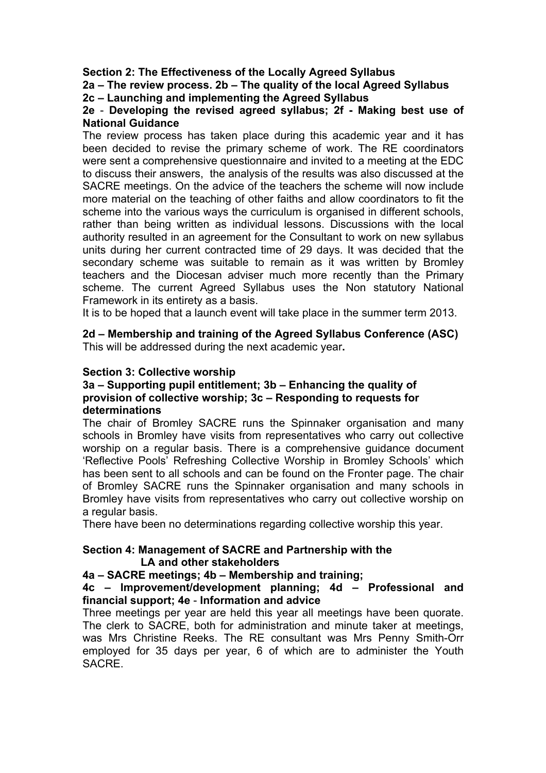### **Section 2: The Effectiveness of the Locally Agreed Syllabus**

**2a – The review process. 2b – The quality of the local Agreed Syllabus**

**2c – Launching and implementing the Agreed Syllabus**

### **2e** - **Developing the revised agreed syllabus; 2f - Making best use of National Guidance**

The review process has taken place during this academic year and it has been decided to revise the primary scheme of work. The RE coordinators were sent a comprehensive questionnaire and invited to a meeting at the EDC to discuss their answers, the analysis of the results was also discussed at the SACRE meetings. On the advice of the teachers the scheme will now include more material on the teaching of other faiths and allow coordinators to fit the scheme into the various ways the curriculum is organised in different schools, rather than being written as individual lessons. Discussions with the local authority resulted in an agreement for the Consultant to work on new syllabus units during her current contracted time of 29 days. It was decided that the secondary scheme was suitable to remain as it was written by Bromley teachers and the Diocesan adviser much more recently than the Primary scheme. The current Agreed Syllabus uses the Non statutory National Framework in its entirety as a basis.

It is to be hoped that a launch event will take place in the summer term 2013.

#### **2d – Membership and training of the Agreed Syllabus Conference (ASC)** This will be addressed during the next academic year**.**

## **Section 3: Collective worship**

#### **3a – Supporting pupil entitlement; 3b – Enhancing the quality of provision of collective worship; 3c – Responding to requests for determinations**

The chair of Bromley SACRE runs the Spinnaker organisation and many schools in Bromley have visits from representatives who carry out collective worship on a regular basis. There is a comprehensive guidance document 'Reflective Pools' Refreshing Collective Worship in Bromley Schools' which has been sent to all schools and can be found on the Fronter page. The chair of Bromley SACRE runs the Spinnaker organisation and many schools in Bromley have visits from representatives who carry out collective worship on a regular basis.

There have been no determinations regarding collective worship this year.

### **Section 4: Management of SACRE and Partnership with the LA and other stakeholders**

# **4a – SACRE meetings; 4b – Membership and training;**

## **4c – Improvement/development planning; 4d – Professional and financial support; 4e** - **Information and advice**

Three meetings per year are held this year all meetings have been quorate. The clerk to SACRE, both for administration and minute taker at meetings, was Mrs Christine Reeks. The RE consultant was Mrs Penny Smith-Orr employed for 35 days per year, 6 of which are to administer the Youth SACRE.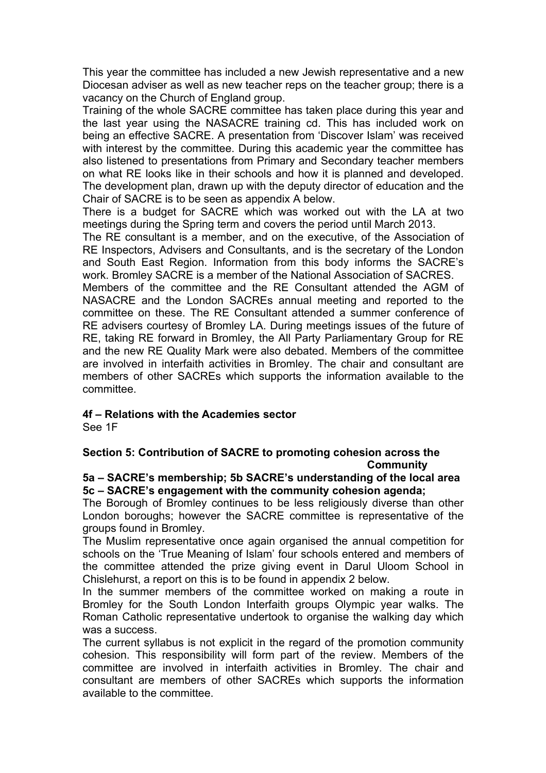This year the committee has included a new Jewish representative and a new Diocesan adviser as well as new teacher reps on the teacher group; there is a vacancy on the Church of England group.

Training of the whole SACRE committee has taken place during this year and the last year using the NASACRE training cd. This has included work on being an effective SACRE. A presentation from 'Discover Islam' was received with interest by the committee. During this academic year the committee has also listened to presentations from Primary and Secondary teacher members on what RE looks like in their schools and how it is planned and developed. The development plan, drawn up with the deputy director of education and the Chair of SACRE is to be seen as appendix A below.

There is a budget for SACRE which was worked out with the LA at two meetings during the Spring term and covers the period until March 2013.

The RE consultant is a member, and on the executive, of the Association of RE Inspectors, Advisers and Consultants, and is the secretary of the London and South East Region. Information from this body informs the SACRE's work. Bromley SACRE is a member of the National Association of SACRES.

Members of the committee and the RE Consultant attended the AGM of NASACRE and the London SACREs annual meeting and reported to the committee on these. The RE Consultant attended a summer conference of RE advisers courtesy of Bromley LA. During meetings issues of the future of RE, taking RE forward in Bromley, the All Party Parliamentary Group for RE and the new RE Quality Mark were also debated. Members of the committee are involved in interfaith activities in Bromley. The chair and consultant are members of other SACREs which supports the information available to the committee.

### **4f – Relations with the Academies sector**

See 1F

# **Section 5: Contribution of SACRE to promoting cohesion across the Community**

### **5a – SACRE's membership; 5b SACRE's understanding of the local area 5c – SACRE's engagement with the community cohesion agenda;**

The Borough of Bromley continues to be less religiously diverse than other London boroughs; however the SACRE committee is representative of the groups found in Bromley.

The Muslim representative once again organised the annual competition for schools on the 'True Meaning of Islam' four schools entered and members of the committee attended the prize giving event in Darul Uloom School in Chislehurst, a report on this is to be found in appendix 2 below.

In the summer members of the committee worked on making a route in Bromley for the South London Interfaith groups Olympic year walks. The Roman Catholic representative undertook to organise the walking day which was a success.

The current syllabus is not explicit in the regard of the promotion community cohesion. This responsibility will form part of the review. Members of the committee are involved in interfaith activities in Bromley. The chair and consultant are members of other SACREs which supports the information available to the committee.